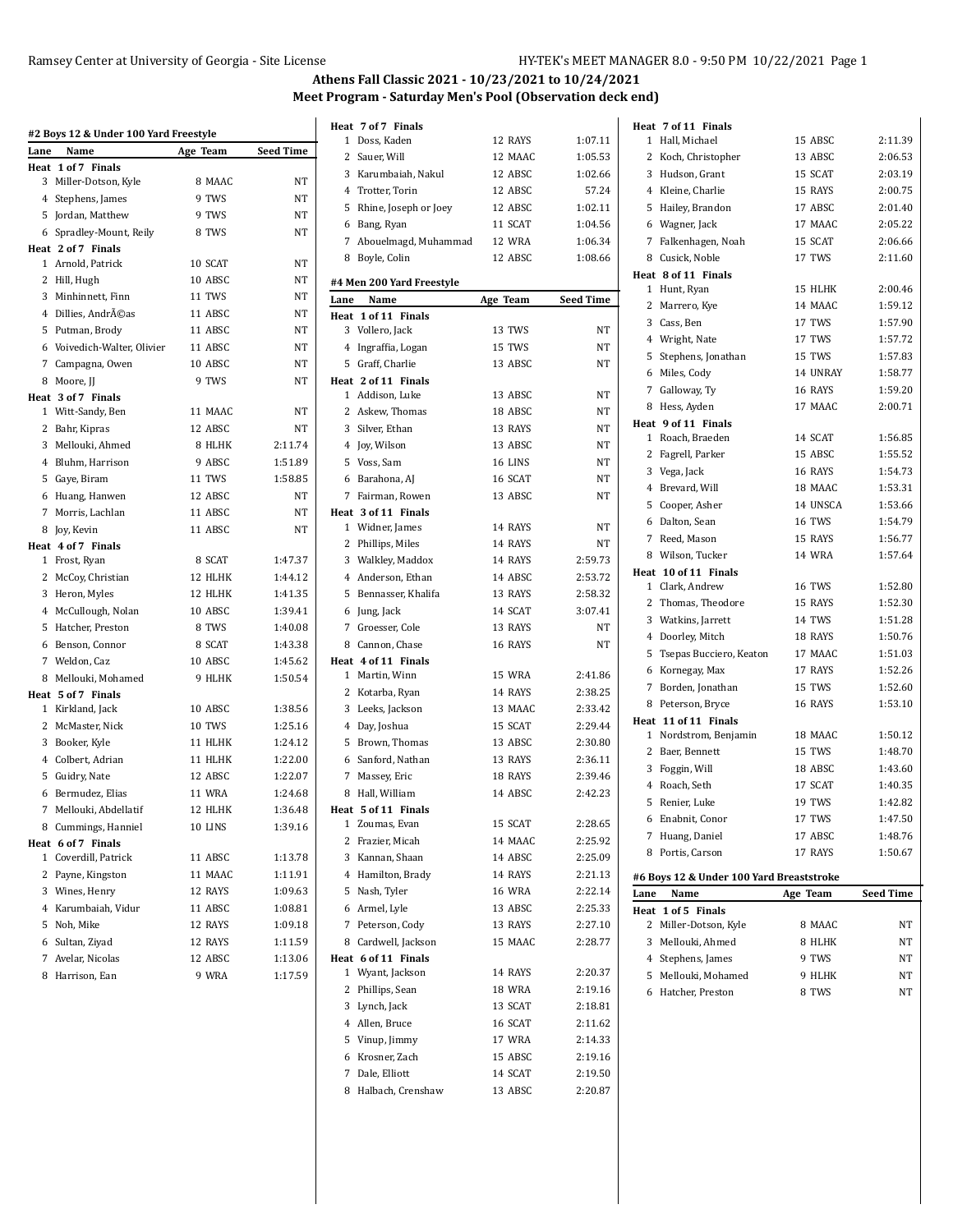# Ramsey Center at University of Georgia - Site License HY-TEK's MEET MANAGER 8.0 - 9:50 PM 10/22/2021 Page 1

# **Athens Fall Classic 2021 - 10/23/2021 to 10/24/2021 Meet Program - Saturday Men's Pool (Observation deck end)**

|      | #2 Boys 12 & Under 100 Yard Freestyle |               |                  |
|------|---------------------------------------|---------------|------------------|
| Lane | Name                                  | Age Team      | <b>Seed Time</b> |
| Heat | 1 of 7 Finals                         |               |                  |
|      | 3 Miller-Dotson, Kyle                 | 8 MAAC        | NT               |
|      | 4 Stephens, James                     | 9 TWS         | NT               |
|      | 5 Jordan, Matthew                     | 9 TWS         | NT               |
|      | 6 Spradley-Mount, Reily               | 8 TWS         | NT               |
|      | Heat 2 of 7 Finals                    |               |                  |
|      | 1 Arnold, Patrick                     | 10 SCAT       | NT               |
|      | 2 Hill, Hugh                          | 10 ABSC       | NT               |
|      | 3 Minhinnett, Finn                    | 11 TWS        | NT               |
|      | 4 Dillies, Andréas                    | 11 ABSC       | NT               |
|      | 5 Putman, Brody                       | 11 ABSC       | <b>NT</b>        |
|      | 6 Voivedich-Walter, Olivier           | 11 ABSC       | NT               |
|      | 7 Campagna, Owen                      | 10 ABSC       | NT               |
|      | 8 Moore, JJ                           | 9 TWS         | NT               |
|      | Heat 3 of 7 Finals                    |               |                  |
|      | 1 Witt-Sandy, Ben                     | 11 MAAC       | NT               |
|      | 2 Bahr, Kipras                        | 12 ABSC       | NT               |
|      | 3 Mellouki, Ahmed                     | 8 HLHK        | 2:11.74          |
|      | 4 Bluhm, Harrison                     | 9 ABSC        | 1:51.89          |
|      | 5 Gaye, Biram                         | 11 TWS        | 1:58.85          |
|      | 6 Huang, Hanwen                       | 12 ABSC       | NT               |
|      | 7 Morris, Lachlan                     | 11 ABSC       | NT               |
|      | 8 Joy, Kevin                          | 11 ABSC       | NT               |
|      | Heat 4 of 7 Finals                    |               |                  |
|      | 1 Frost, Ryan                         | 8 SCAT        | 1:47.37          |
|      | 2 McCoy, Christian                    | 12 HLHK       | 1:44.12          |
|      | 3 Heron, Myles                        | 12 HLHK       | 1:41.35          |
|      | 4 McCullough, Nolan                   | 10 ABSC       | 1:39.41          |
|      | 5 Hatcher, Preston                    | 8 TWS         | 1:40.08          |
|      | 6 Benson, Connor                      | 8 SCAT        | 1:43.38          |
|      | 7 Weldon, Caz                         | 10 ABSC       | 1:45.62          |
|      | 8 Mellouki, Mohamed                   | 9 HLHK        | 1:50.54          |
|      | Heat 5 of 7 Finals                    |               |                  |
|      | 1 Kirkland, Jack                      | 10 ABSC       | 1:38.56          |
|      | 2 McMaster, Nick                      | <b>10 TWS</b> | 1:25.16          |
|      | 3 Booker, Kyle                        | 11 HLHK       | 1:24.12          |
|      | 4 Colbert, Adrian                     | 11 HLHK       | 1:22.00          |
|      | 5 Guidry, Nate                        | 12 ABSC       | 1:22.07          |
|      | 6 Bermudez, Elias                     | 11 WRA        | 1:24.68          |
|      | 7 Mellouki, Abdellatif                | 12 HLHK       | 1:36.48          |
|      | 8 Cummings, Hanniel                   | 10 LINS       | 1:39.16          |
|      | Heat 6 of 7 Finals                    |               |                  |
|      | 1 Coverdill, Patrick                  | 11 ABSC       | 1:13.78          |
| 2    | Payne, Kingston                       | 11 MAAC       | 1:11.91          |
|      | 3 Wines, Henry                        | 12 RAYS       | 1:09.63          |
|      | 4 Karumbaiah, Vidur                   | 11 ABSC       | 1:08.81          |
|      | 5 Noh, Mike                           | 12 RAYS       | 1:09.18          |
|      | 6 Sultan, Ziyad                       | 12 RAYS       | 1:11.59          |
| 7    | Avelar, Nicolas                       | 12 ABSC       | 1:13.06          |
|      | 8 Harrison, Ean                       | 9 WRA         | 1:17.59          |

|      | Heat 7 of 7 Finals                  |                    |                    |
|------|-------------------------------------|--------------------|--------------------|
|      | 1 Doss, Kaden                       | 12 RAYS            | 1:07.11            |
|      | 2 Sauer, Will                       | 12 MAAC            | 1:05.53            |
|      | 3 Karumbaiah, Nakul                 | 12 ABSC            | 1:02.66            |
|      | 4 Trotter, Torin                    | 12 ABSC            | 57.24              |
|      | 5 Rhine, Joseph or Joey             | 12 ABSC            | 1:02.11            |
|      | 6 Bang, Ryan                        | 11 SCAT            | 1:04.56            |
|      | 7 Abouelmagd, Muhammad              | 12 WRA             | 1:06.34            |
|      | 8 Boyle, Colin                      | 12 ABSC            | 1:08.66            |
|      | #4 Men 200 Yard Freestyle           |                    |                    |
| Lane | Name                                | Age Team           | <b>Seed Time</b>   |
|      | Heat 1 of 11 Finals                 |                    |                    |
|      | 3 Vollero, Jack                     | 13 TWS             | NT                 |
|      | 4 Ingraffia, Logan                  | 15 TWS             | NT                 |
|      | 5 Graff, Charlie                    | 13 ABSC            | NT                 |
|      | Heat 2 of 11 Finals                 |                    |                    |
|      | 1 Addison, Luke                     | 13 ABSC            | NT                 |
|      | 2 Askew, Thomas                     | 18 ABSC            | NT                 |
|      | 3 Silver, Ethan                     | 13 RAYS            | NT                 |
|      | 4 Joy, Wilson                       | 13 ABSC            | NT                 |
|      | 5 Voss, Sam                         | 16 LINS            | NT                 |
|      | 6 Barahona, AJ                      | 16 SCAT            | NT                 |
|      | 7 Fairman, Rowen                    | 13 ABSC            | NT                 |
|      | Heat 3 of 11 Finals                 |                    |                    |
|      | 1 Widner, James                     | 14 RAYS            | NT                 |
|      | 2 Phillips, Miles                   | 14 RAYS            | NT                 |
|      | 3 Walkley, Maddox                   | 14 RAYS            | 2:59.73            |
|      | 4 Anderson, Ethan                   | 14 ABSC            | 2:53.72            |
|      | 5 Bennasser, Khalifa                | 13 RAYS            | 2:58.32            |
|      | 6 Jung, Jack                        | 14 SCAT            | 3:07.41            |
|      | 7 Groesser, Cole                    | 13 RAYS            | NT                 |
|      | 8 Cannon, Chase                     | 16 RAYS            | NT                 |
|      | Heat 4 of 11 Finals                 |                    |                    |
|      | 1 Martin, Winn                      | 15 WRA             | 2:41.86            |
|      | 2 Kotarba, Ryan                     | 14 RAYS            | 2:38.25            |
|      | 3 Leeks, Jackson                    | 13 MAAC            | 2:33.42            |
|      | 4 Day, Joshua                       | 15 SCAT            | 2:29.44            |
|      | 5 Brown, Thomas                     | 13 ABSC            | 2:30.80<br>2:36.11 |
|      | 6 Sanford, Nathan                   | 13 RAYS            |                    |
|      | 7 Massey, Eric<br>8 Hall, William   | 18 RAYS<br>14 ABSC | 2:39.46            |
|      |                                     |                    | 2:42.23            |
| 1    | Heat 5 of 11 Finals<br>Zoumas, Evan | 15 SCAT            | 2:28.65            |
|      | 2 Frazier, Micah                    | 14 MAAC            | 2:25.92            |
|      | 3 Kannan, Shaan                     | 14 ABSC            | 2:25.09            |
|      | 4 Hamilton, Brady                   | 14 RAYS            | 2.21.13            |
| 5    | Nash, Tyler                         | <b>16 WRA</b>      | 2:22.14            |
|      | 6 Armel, Lyle                       | 13 ABSC            | 2:25.33            |
| 7    | Peterson, Cody                      | 13 RAYS            | 2:27.10            |
|      | 8 Cardwell, Jackson                 | 15 MAAC            | 2:28.77            |
|      | Heat 6 of 11 Finals                 |                    |                    |
|      | 1 Wyant, Jackson                    | 14 RAYS            | 2:20.37            |
|      | 2 Phillips, Sean                    | <b>18 WRA</b>      | 2:19.16            |
|      | 3 Lynch, Jack                       | 13 SCAT            | 2:18.81            |
|      | 4 Allen, Bruce                      | 16 SCAT            | 2:11.62            |
|      | 5 Vinup, Jimmy                      | <b>17 WRA</b>      | 2:14.33            |
| 6    | Krosner, Zach                       | 15 ABSC            | 2:19.16            |
|      | 7 Dale, Elliott                     | 14 SCAT            | 2:19.50            |
|      |                                     |                    | 2:20.87            |
|      | 8 Halbach, Crenshaw                 | 13 ABSC            |                    |

|                | Heat 7 of 11 Finals                       |               |                    |
|----------------|-------------------------------------------|---------------|--------------------|
|                | 1 Hall. Michael                           | 15 ABSC       | 2:11.39            |
| $\overline{2}$ | Koch, Christopher                         | 13 ABSC       | 2:06.53            |
| 3              | Hudson, Grant                             | 15 SCAT       | 2:03.19            |
|                | 4 Kleine, Charlie                         | 15 RAYS       | 2:00.75            |
| 5              | Hailey, Brandon                           | 17 ABSC       | 2:01.40            |
|                | 6 Wagner, Jack                            | 17 MAAC       | 2:05.22            |
| 7              | Falkenhagen, Noah                         | 15 SCAT       | 2:06.66            |
|                | 8 Cusick, Noble                           | 17 TWS        | 2:11.60            |
|                | Heat 8 of 11 Finals                       |               |                    |
| $\mathbf{1}$   | Hunt, Ryan                                | 15 HLHK       | 2:00.46            |
| 2              | Marrero, Kye                              | 14 MAAC       | 1:59.12            |
|                | 3 Cass, Ben                               | 17 TWS        | 1:57.90            |
|                | 4 Wright, Nate                            | 17 TWS        | 1:57.72            |
| 5              | Stephens, Jonathan                        | 15 TWS        | 1:57.83            |
| 6              | Miles, Cody                               | 14 UNRAY      | 1:58.77            |
| 7              | Galloway, Ty                              | 16 RAYS       | 1:59.20            |
|                | 8 Hess, Ayden                             | 17 MAAC       | 2:00.71            |
|                | Heat 9 of 11 Finals                       | 14 SCAT       |                    |
| 2              | 1 Roach, Braeden                          | 15 ABSC       | 1:56.85<br>1:55.52 |
|                | Fagrell, Parker                           | 16 RAYS       | 1:54.73            |
|                | 3 Vega, Jack<br>4 Brevard, Will           | 18 MAAC       | 1:53.31            |
|                | 5 Cooper, Asher                           | 14 UNSCA      | 1:53.66            |
| 6              | Dalton, Sean                              | <b>16 TWS</b> | 1:54.79            |
| 7              | Reed, Mason                               | 15 RAYS       | 1:56.77            |
|                | 8 Wilson. Tucker                          | <b>14 WRA</b> | 1:57.64            |
|                | Heat 10 of 11 Finals                      |               |                    |
|                | 1 Clark, Andrew                           | 16 TWS        | 1:52.80            |
| $\overline{2}$ | Thomas, Theodore                          | 15 RAYS       | 1:52.30            |
|                | 3 Watkins, Jarrett                        | 14 TWS        | 1:51.28            |
|                | 4 Doorley, Mitch                          | 18 RAYS       | 1:50.76            |
| 5              | Tsepas Bucciero, Keaton                   | 17 MAAC       | 1:51.03            |
| 6              | Kornegay, Max                             | 17 RAYS       | 1:52.26            |
| 7              | Borden, Jonathan                          | 15 TWS        | 1:52.60            |
|                | 8 Peterson, Bryce                         | 16 RAYS       | 1:53.10            |
|                | Heat 11 of 11 Finals                      |               |                    |
|                | 1 Nordstrom, Benjamin                     | 18 MAAC       | 1:50.12            |
| 2              | Baer, Bennett                             | 15 TWS        | 1:48.70            |
| 3              | Foggin, Will                              | 18 ABSC       | 1:43.60            |
|                | 4 Roach. Seth                             | 17 SCAT       | 1:40.35            |
| 5              | Renier, Luke                              | 19 TWS        | 1:42.82            |
| 6              | Enabnit, Conor                            | 17 TWS        | 1:47.50            |
| 7              | Huang, Daniel                             | 17 ABSC       | 1:48.76            |
| 8              | Portis, Carson                            | 17 RAYS       | 1:50.67            |
|                |                                           |               |                    |
|                | #6 Boys 12 & Under 100 Yard Breaststroke  |               |                    |
| Lane           | Name                                      | Age Team      | Seed Time          |
| 2              | Heat 1 of 5 Finals<br>Miller-Dotson, Kyle | 8 MAAC        | NΤ                 |
| 3              | Mellouki, Ahmed                           | 8 HLHK        | NΤ                 |
|                |                                           | 9 TWS         | NT                 |
| 5              | 4 Stephens, James<br>Mellouki, Mohamed    | 9 HLHK        | NΤ                 |
|                |                                           | 8 TWS         | NΤ                 |
|                |                                           |               |                    |
|                | 6 Hatcher, Preston                        |               |                    |
|                |                                           |               |                    |
|                |                                           |               |                    |
|                |                                           |               |                    |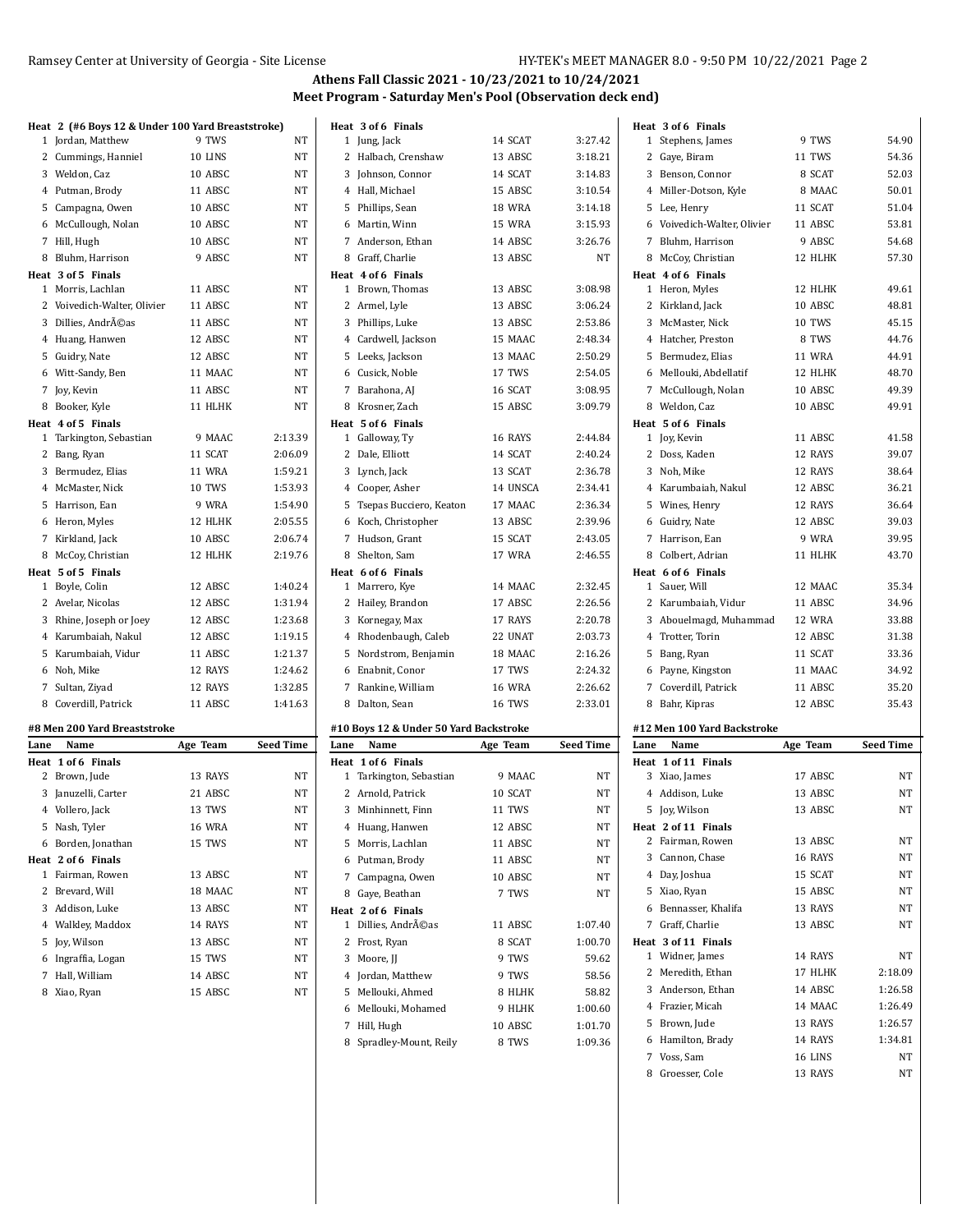# Ramsey Center at University of Georgia - Site License HY-TEK's MEET MANAGER 8.0 - 9:50 PM 10/22/2021 Page 2

 Brown, Jude 13 RAYS 1:26.57 Hamilton, Brady 14 RAYS 1:34.81 Voss, Sam 16 LINS NT 8 Groesser, Cole 13 RAYS NT

### **Athens Fall Classic 2021 - 10/23/2021 to 10/24/2021 Meet Program - Saturday Men's Pool (Observation deck end)**

|      | Heat 2 (#6 Boys 12 & Under 100 Yard Breaststroke) |          |                  |      | Heat 3 of 6 Finals                     |               |                  |      | Heat 3 of 6 Finals          |               |           |
|------|---------------------------------------------------|----------|------------------|------|----------------------------------------|---------------|------------------|------|-----------------------------|---------------|-----------|
|      | 1 Jordan, Matthew                                 | 9 TWS    | NT               |      | 1 Jung, Jack                           | 14 SCAT       | 3:27.42          |      | 1 Stephens, James           | 9 TWS         | 54.90     |
|      | 2 Cummings, Hanniel                               | 10 LINS  | NT               |      | 2 Halbach, Crenshaw                    | 13 ABSC       | 3:18.21          |      | 2 Gaye, Biram               | 11 TWS        | 54.36     |
|      | 3 Weldon, Caz                                     | 10 ABSC  | NT               |      | 3 Johnson, Connor                      | 14 SCAT       | 3:14.83          |      | 3 Benson, Connor            | 8 SCAT        | 52.03     |
|      | 4 Putman, Brody                                   | 11 ABSC  | NT               |      | 4 Hall, Michael                        | 15 ABSC       | 3:10.54          |      | 4 Miller-Dotson, Kyle       | 8 MAAC        | 50.01     |
|      | 5 Campagna, Owen                                  | 10 ABSC  | NT               |      | 5 Phillips, Sean                       | 18 WRA        | 3:14.18          |      | 5 Lee, Henry                | 11 SCAT       | 51.04     |
|      | 6 McCullough, Nolan                               | 10 ABSC  | NT               |      | 6 Martin, Winn                         | 15 WRA        | 3:15.93          |      | 6 Voivedich-Walter, Olivier | 11 ABSC       | 53.81     |
|      | 7 Hill, Hugh                                      | 10 ABSC  | NT               |      | 7 Anderson, Ethan                      | 14 ABSC       | 3:26.76          |      | 7 Bluhm, Harrison           | 9 ABSC        | 54.68     |
|      | 8 Bluhm, Harrison                                 | 9 ABSC   | NT               |      | 8 Graff, Charlie                       | 13 ABSC       | NT               |      | 8 McCoy, Christian          | 12 HLHK       | 57.30     |
|      | Heat 3 of 5 Finals                                |          |                  |      | Heat 4 of 6 Finals                     |               |                  |      | Heat 4 of 6 Finals          |               |           |
|      | 1 Morris, Lachlan                                 | 11 ABSC  | NT               |      | 1 Brown, Thomas                        | 13 ABSC       | 3:08.98          |      | 1 Heron, Myles              | 12 HLHK       | 49.61     |
|      | 2 Voivedich-Walter, Olivier                       | 11 ABSC  | NT               |      | 2 Armel, Lyle                          | 13 ABSC       | 3:06.24          |      | 2 Kirkland, Jack            | 10 ABSC       | 48.81     |
|      | 3 Dillies, Andréas                                | 11 ABSC  | NT               |      | 3 Phillips, Luke                       | 13 ABSC       | 2:53.86          |      | 3 McMaster, Nick            | 10 TWS        | 45.15     |
|      | 4 Huang, Hanwen                                   | 12 ABSC  | NT               |      | 4 Cardwell, Jackson                    | 15 MAAC       | 2:48.34          |      | 4 Hatcher, Preston          | 8 TWS         | 44.76     |
|      | 5 Guidry, Nate                                    | 12 ABSC  | NT               |      | 5 Leeks, Jackson                       | 13 MAAC       | 2:50.29          |      | 5 Bermudez, Elias           | <b>11 WRA</b> | 44.91     |
|      | 6 Witt-Sandy, Ben                                 | 11 MAAC  | NT               |      | 6 Cusick, Noble                        | 17 TWS        | 2:54.05          |      | 6 Mellouki, Abdellatif      | 12 HLHK       | 48.70     |
|      | 7 Joy, Kevin                                      | 11 ABSC  | NT               |      | 7 Barahona, AJ                         | 16 SCAT       | 3:08.95          |      | 7 McCullough, Nolan         | 10 ABSC       | 49.39     |
|      | 8 Booker, Kyle                                    | 11 HLHK  | NT               |      | 8 Krosner, Zach                        | 15 ABSC       | 3:09.79          |      | 8 Weldon, Caz               | 10 ABSC       | 49.91     |
|      | Heat 4 of 5 Finals                                |          |                  |      | Heat 5 of 6 Finals                     |               |                  |      | Heat 5 of 6 Finals          |               |           |
|      | 1 Tarkington, Sebastian                           | 9 MAAC   | 2:13.39          |      | 1 Galloway, Ty                         | 16 RAYS       | 2:44.84          |      | 1 Joy, Kevin                | 11 ABSC       | 41.58     |
|      | 2 Bang, Ryan                                      | 11 SCAT  | 2:06.09          |      | 2 Dale, Elliott                        | 14 SCAT       | 2:40.24          |      | 2 Doss, Kaden               | 12 RAYS       | 39.07     |
|      | 3 Bermudez, Elias                                 | 11 WRA   | 1:59.21          |      | 3 Lynch, Jack                          | 13 SCAT       | 2:36.78          |      | 3 Noh, Mike                 | 12 RAYS       | 38.64     |
|      | 4 McMaster, Nick                                  | 10 TWS   | 1:53.93          |      | 4 Cooper, Asher                        | 14 UNSCA      | 2:34.41          |      | 4 Karumbaiah, Nakul         | 12 ABSC       | 36.21     |
|      | 5 Harrison, Ean                                   | 9 WRA    | 1:54.90          |      | 5 Tsepas Bucciero, Keaton              | 17 MAAC       | 2:36.34          |      | 5 Wines, Henry              | 12 RAYS       | 36.64     |
|      | 6 Heron, Myles                                    | 12 HLHK  | 2:05.55          |      | 6 Koch, Christopher                    | 13 ABSC       | 2:39.96          |      | 6 Guidry, Nate              | 12 ABSC       | 39.03     |
|      | 7 Kirkland, Jack                                  | 10 ABSC  | 2:06.74          |      | 7 Hudson, Grant                        | 15 SCAT       | 2:43.05          |      | 7 Harrison, Ean             | 9 WRA         | 39.95     |
|      | 8 McCoy, Christian                                | 12 HLHK  | 2:19.76          |      | 8 Shelton, Sam                         | 17 WRA        | 2:46.55          |      | 8 Colbert, Adrian           | 11 HLHK       | 43.70     |
|      | Heat 5 of 5 Finals                                |          |                  |      | Heat 6 of 6 Finals                     |               |                  |      | Heat 6 of 6 Finals          |               |           |
|      | 1 Boyle, Colin                                    | 12 ABSC  | 1:40.24          |      | 1 Marrero, Kye                         | 14 MAAC       | 2:32.45          |      | 1 Sauer, Will               | 12 MAAC       | 35.34     |
|      | 2 Avelar, Nicolas                                 | 12 ABSC  | 1:31.94          |      | 2 Hailey, Brandon                      | 17 ABSC       | 2:26.56          |      | 2 Karumbaiah, Vidur         | 11 ABSC       | 34.96     |
|      | 3 Rhine, Joseph or Joey                           | 12 ABSC  | 1:23.68          |      | 3 Kornegay, Max                        | 17 RAYS       | 2:20.78          |      | 3 Abouelmagd, Muhammad      | 12 WRA        | 33.88     |
|      | 4 Karumbaiah, Nakul                               | 12 ABSC  | 1:19.15          |      | 4 Rhodenbaugh, Caleb                   | 22 UNAT       | 2:03.73          |      | 4 Trotter, Torin            | 12 ABSC       | 31.38     |
|      | 5 Karumbaiah, Vidur                               | 11 ABSC  | 1:21.37          |      | 5 Nordstrom, Benjamin                  | 18 MAAC       | 2:16.26          |      | 5 Bang, Ryan                | 11 SCAT       | 33.36     |
|      | 6 Noh, Mike                                       | 12 RAYS  | 1:24.62          |      | 6 Enabnit, Conor                       | 17 TWS        | 2:24.32          |      | 6 Payne, Kingston           | 11 MAAC       | 34.92     |
|      | 7 Sultan, Ziyad                                   | 12 RAYS  | 1:32.85          |      | 7 Rankine, William                     | <b>16 WRA</b> | 2:26.62          |      | 7 Coverdill, Patrick        | 11 ABSC       | 35.20     |
|      | 8 Coverdill, Patrick                              | 11 ABSC  | 1:41.63          |      | 8 Dalton, Sean                         | 16 TWS        | 2:33.01          |      | 8 Bahr, Kipras              | 12 ABSC       | 35.43     |
|      |                                                   |          |                  |      |                                        |               |                  |      |                             |               |           |
|      | #8 Men 200 Yard Breaststroke                      |          |                  |      | #10 Boys 12 & Under 50 Yard Backstroke |               |                  |      | #12 Men 100 Yard Backstroke |               |           |
| Lane | Name                                              | Age Team | <b>Seed Time</b> | Lane | Name                                   | Age Team      | <b>Seed Time</b> | Lane | Name                        | Age Team      | Seed Time |
|      | Heat 1 of 6 Finals                                |          |                  |      | Heat 1 of 6 Finals                     |               |                  |      | Heat 1 of 11 Finals         |               |           |
|      | 2 Brown, Jude                                     | 13 RAYS  | NΤ               |      | 1 Tarkington, Sebastian                | 9 MAAC        | NT               |      | 3 Xiao, James               | 17 ABSC       | NT        |
|      | 3 Januzelli, Carter                               | 21 ABSC  | NT               |      | 2 Arnold, Patrick                      | 10 SCAT       | NT               |      | 4 Addison, Luke             | 13 ABSC       | <b>NT</b> |
|      | 4 Vollero, Jack                                   | 13 TWS   | $_{\rm NT}$      |      | 3 Minhinnett, Finn                     | 11 TWS        | $_{\rm NT}$      |      | 5 Joy, Wilson               | 13 ABSC       | NT        |
|      | 5 Nash, Tyler                                     | 16 WRA   | NT               |      | 4 Huang, Hanwen                        | 12 ABSC       | NT               |      | Heat 2 of 11 Finals         |               |           |
|      | 6 Borden, Jonathan                                | 15 TWS   | NΤ               |      | 5 Morris, Lachlan                      | 11 ABSC       | NT               |      | 2 Fairman, Rowen            | 13 ABSC       | NT        |
|      | Heat 2 of 6 Finals                                |          |                  |      | 6 Putman, Brody                        | 11 ABSC       | NT               |      | 3 Cannon, Chase             | 16 RAYS       | NT        |
|      | 1 Fairman, Rowen                                  | 13 ABSC  | NT               |      | 7 Campagna, Owen                       | 10 ABSC       | NT               |      | 4 Day, Joshua               | 15 SCAT       | NT        |
|      | 2 Brevard, Will                                   | 18 MAAC  | NΤ               |      | 8 Gaye, Beathan                        | 7 TWS         | NΤ               |      | 5 Xiao, Ryan                | 15 ABSC       | NT        |
|      | 3 Addison, Luke                                   | 13 ABSC  | NT               |      | Heat 2 of 6 Finals                     |               |                  |      | 6 Bennasser, Khalifa        | 13 RAYS       | NT        |
|      | 4 Walkley, Maddox                                 | 14 RAYS  | NT               |      | 1 Dillies, Andrĩas                     | 11 ABSC       | 1:07.40          |      | 7 Graff, Charlie            | 13 ABSC       | NT        |
|      | 5 Joy, Wilson                                     | 13 ABSC  | NΤ               |      | 2 Frost, Ryan                          | 8 SCAT        | 1:00.70          |      | Heat 3 of 11 Finals         |               |           |
|      | 6 Ingraffia, Logan                                | 15 TWS   | NΤ               |      | 3 Moore, JJ                            | 9 TWS         | 59.62            |      | 1 Widner, James             | 14 RAYS       | NT        |
|      | 7 Hall, William                                   | 14 ABSC  | NT               |      | 4 Jordan, Matthew                      | 9 TWS         | 58.56            |      | 2 Meredith, Ethan           | 17 HLHK       | 2:18.09   |
|      |                                                   |          | NT               |      | 5 Mellouki, Ahmed                      | 8 HLHK        | 58.82            |      | 3 Anderson, Ethan           | 14 ABSC       | 1:26.58   |
|      | 8 Xiao, Ryan                                      | 15 ABSC  |                  |      |                                        |               |                  |      |                             |               |           |

- Hill, Hugh 10 ABSC 1:01.70
- 8 Spradley-Mount, Reily 8 TWS 1:09.36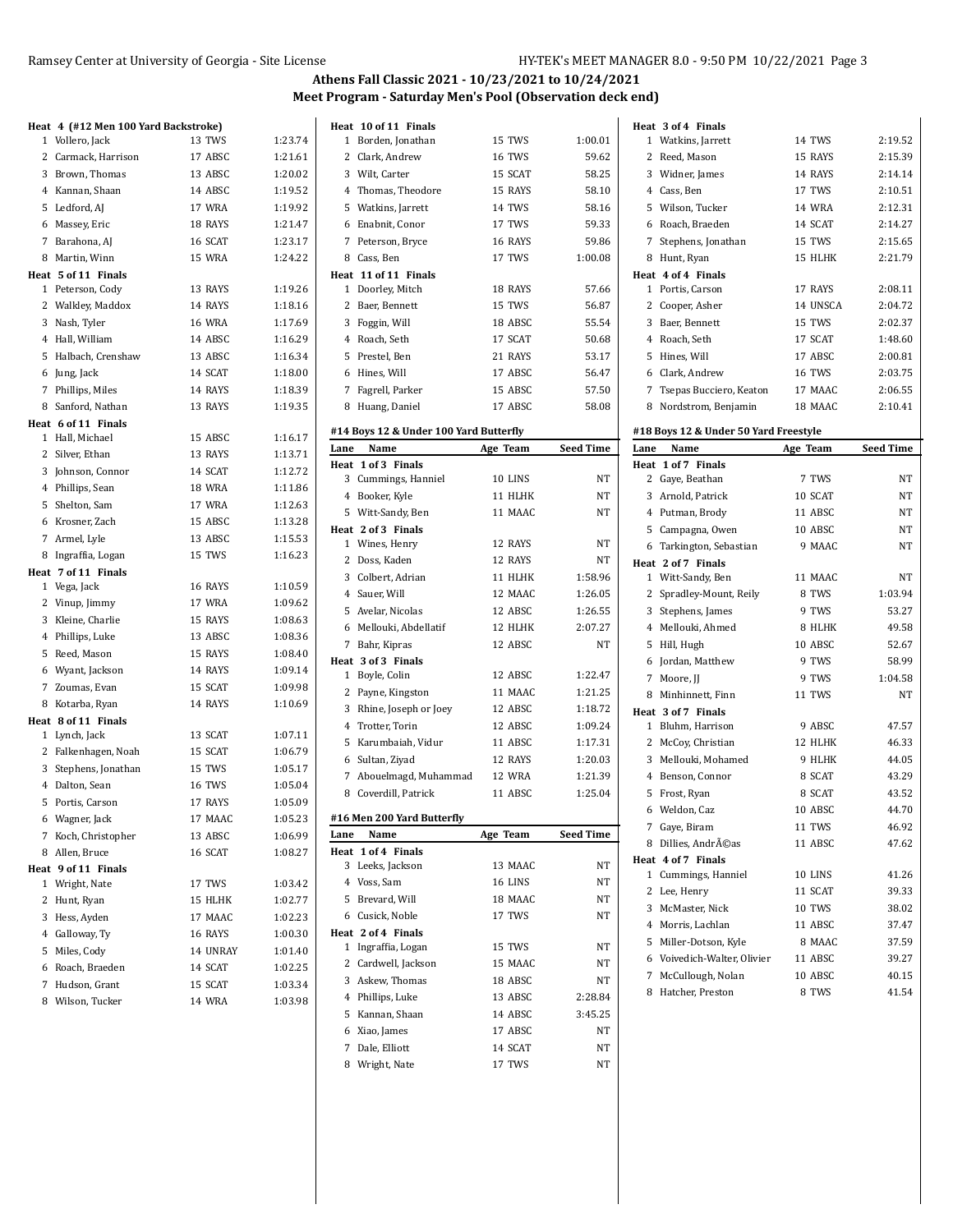$\mathbf{r}$ 

#### Ramsey Center at University of Georgia - Site License HY-TEK's MEET MANAGER 8.0 - 9:50 PM 10/22/2021 Page 3

 $\ddot{\phantom{a}}$ 

# **Athens Fall Classic 2021 - 10/23/2021 to 10/24/2021 Meet Program - Saturday Men's Pool (Observation deck end)**

| Heat 4 (#12 Men 100 Yard Backstroke) |               |         |      | Heat 10 of 11 Finals                   |          |                    |      | Heat 3 of 4 Finals                        |                   |                  |
|--------------------------------------|---------------|---------|------|----------------------------------------|----------|--------------------|------|-------------------------------------------|-------------------|------------------|
| 1 Vollero, Jack                      | 13 TWS        | 1:23.74 |      | 1 Borden, Jonathan                     | 15 TWS   | 1:00.01            |      | 1 Watkins, Jarrett                        | 14 TWS            | 2:19.52          |
| 2 Carmack, Harrison                  | 17 ABSC       | 1:21.61 |      | 2 Clark, Andrew                        | 16 TWS   | 59.62              |      | 2 Reed, Mason                             | 15 RAYS           | 2:15.39          |
| 3 Brown, Thomas                      | 13 ABSC       | 1:20.02 |      | 3 Wilt, Carter                         | 15 SCAT  | 58.25              |      | 3 Widner, James                           | 14 RAYS           | 2:14.14          |
| 4 Kannan, Shaan                      | 14 ABSC       | 1:19.52 |      | 4 Thomas, Theodore                     | 15 RAYS  | 58.10              |      | 4 Cass, Ben                               | 17 TWS            | 2:10.51          |
| 5 Ledford, AJ                        | 17 WRA        | 1:19.92 |      | 5 Watkins, Jarrett                     | 14 TWS   | 58.16              |      | 5 Wilson, Tucker                          | <b>14 WRA</b>     | 2:12.31          |
| 6 Massey, Eric                       | 18 RAYS       | 1:21.47 |      | 6 Enabnit, Conor                       | 17 TWS   | 59.33              |      | 6 Roach, Braeden                          | 14 SCAT           | 2:14.27          |
| 7 Barahona, AJ                       | 16 SCAT       | 1:23.17 |      | 7 Peterson, Bryce                      | 16 RAYS  | 59.86              |      | 7 Stephens, Jonathan                      | 15 TWS            | 2:15.65          |
| 8 Martin, Winn                       | 15 WRA        | 1:24.22 |      | 8 Cass, Ben                            | 17 TWS   | 1:00.08            |      | 8 Hunt, Ryan                              | 15 HLHK           | 2:21.79          |
| Heat 5 of 11 Finals                  |               |         |      | Heat 11 of 11 Finals                   |          |                    |      | Heat 4 of 4 Finals                        |                   |                  |
| 1 Peterson, Cody                     | 13 RAYS       | 1:19.26 |      | 1 Doorley, Mitch                       | 18 RAYS  | 57.66              |      | 1 Portis, Carson                          | 17 RAYS           | 2:08.11          |
| 2 Walkley, Maddox                    | 14 RAYS       | 1:18.16 |      | 2 Baer, Bennett                        | 15 TWS   | 56.87              |      | 2 Cooper, Asher                           | 14 UNSCA          | 2:04.72          |
| 3 Nash, Tyler                        | <b>16 WRA</b> | 1:17.69 |      | 3 Foggin, Will                         | 18 ABSC  | 55.54              |      | 3 Baer, Bennett                           | 15 TWS            | 2:02.37          |
| 4 Hall, William                      | 14 ABSC       | 1:16.29 |      | 4 Roach, Seth                          | 17 SCAT  | 50.68              |      | 4 Roach, Seth                             | 17 SCAT           | 1:48.60          |
| 5 Halbach, Crenshaw                  | 13 ABSC       | 1:16.34 |      | 5 Prestel, Ben                         | 21 RAYS  | 53.17              |      | 5 Hines, Will                             | 17 ABSC           | 2:00.81          |
| 6 Jung, Jack                         | 14 SCAT       | 1:18.00 |      | 6 Hines, Will                          | 17 ABSC  | 56.47              |      | 6 Clark, Andrew                           | 16 TWS            | 2:03.75          |
| 7 Phillips, Miles                    | 14 RAYS       | 1:18.39 |      | 7 Fagrell, Parker                      | 15 ABSC  | 57.50              |      | 7 Tsepas Bucciero, Keaton                 | 17 MAAC           | 2:06.55          |
| 8 Sanford, Nathan                    | 13 RAYS       | 1:19.35 |      | 8 Huang, Daniel                        | 17 ABSC  | 58.08              |      | 8 Nordstrom, Benjamin                     | 18 MAAC           | 2:10.41          |
| Heat 6 of 11 Finals                  |               |         |      |                                        |          |                    |      |                                           |                   |                  |
| 1 Hall, Michael                      | 15 ABSC       | 1:16.17 |      | #14 Boys 12 & Under 100 Yard Butterfly |          |                    |      | #18 Boys 12 & Under 50 Yard Freestyle     |                   |                  |
| 2 Silver, Ethan                      | 13 RAYS       | 1:13.71 | Lane | Name                                   | Age Team | <b>Seed Time</b>   | Lane | Name                                      | Age Team          | <b>Seed Time</b> |
| 3 Johnson, Connor                    | 14 SCAT       | 1:12.72 |      | Heat 1 of 3 Finals                     |          |                    |      | Heat 1 of 7 Finals                        |                   |                  |
| 4 Phillips, Sean                     | <b>18 WRA</b> | 1:11.86 |      | 3 Cummings, Hanniel                    | 10 LINS  | NT                 |      | 2 Gaye, Beathan                           | 7 TWS             | NT               |
| 5 Shelton, Sam                       | 17 WRA        | 1:12.63 |      | 4 Booker, Kyle                         | 11 HLHK  | NT                 |      | 3 Arnold, Patrick                         | 10 SCAT           | NT               |
| 6 Krosner, Zach                      | 15 ABSC       | 1:13.28 |      | 5 Witt-Sandy, Ben                      | 11 MAAC  | NT                 |      | 4 Putman, Brody                           | 11 ABSC           | NT               |
| 7 Armel, Lyle                        | 13 ABSC       | 1:15.53 |      | Heat 2 of 3 Finals                     | 12 RAYS  | NT                 |      | 5 Campagna, Owen                          | 10 ABSC           | NT               |
| 8 Ingraffia, Logan                   | 15 TWS        | 1:16.23 |      | 1 Wines, Henry<br>2 Doss, Kaden        |          |                    |      | 6 Tarkington, Sebastian                   | 9 MAAC            | NT               |
| Heat 7 of 11 Finals                  |               |         |      |                                        | 12 RAYS  | NT<br>1:58.96      |      | Heat 2 of 7 Finals                        |                   | <b>NT</b>        |
| 1 Vega, Jack                         | 16 RAYS       | 1:10.59 |      | 3 Colbert, Adrian                      | 11 HLHK  |                    |      | 1 Witt-Sandy, Ben                         | 11 MAAC           | 1:03.94          |
| 2 Vinup, Jimmy                       | 17 WRA        | 1:09.62 |      | 4 Sauer, Will                          | 12 MAAC  | 1:26.05            |      | 2 Spradley-Mount, Reily                   | 8 TWS             |                  |
| 3 Kleine, Charlie                    | 15 RAYS       | 1:08.63 |      | 5 Avelar, Nicolas                      | 12 ABSC  | 1:26.55            |      | 3 Stephens, James                         | 9 TWS             | 53.27            |
| 4 Phillips, Luke                     | 13 ABSC       | 1:08.36 |      | 6 Mellouki, Abdellatif                 | 12 HLHK  | 2:07.27            |      | 4 Mellouki, Ahmed                         | 8 HLHK            | 49.58            |
| 5 Reed, Mason                        | 15 RAYS       | 1:08.40 |      | 7 Bahr, Kipras                         | 12 ABSC  | NT                 |      | 5 Hill, Hugh                              | 10 ABSC           | 52.67            |
| 6 Wyant, Jackson                     | 14 RAYS       | 1:09.14 |      | Heat 3 of 3 Finals<br>1 Boyle, Colin   | 12 ABSC  | 1:22.47            |      | 6 Jordan, Matthew                         | 9 TWS             | 58.99            |
| 7 Zoumas, Evan                       | 15 SCAT       | 1:09.98 |      | 2 Payne, Kingston                      | 11 MAAC  | 1:21.25            |      | 7 Moore, JJ                               | 9 TWS             | 1:04.58          |
| 8 Kotarba, Ryan                      | 14 RAYS       | 1:10.69 |      | 3 Rhine, Joseph or Joey                | 12 ABSC  | 1:18.72            |      | 8 Minhinnett, Finn                        | 11 TWS            | NT               |
| Heat 8 of 11 Finals                  |               |         |      | 4 Trotter, Torin                       | 12 ABSC  | 1:09.24            |      | Heat 3 of 7 Finals                        | 9 ABSC            | 47.57            |
| 1 Lynch, Jack                        | 13 SCAT       | 1:07.11 |      |                                        |          |                    |      | 1 Bluhm, Harrison                         |                   | 46.33            |
| 2 Falkenhagen, Noah                  | 15 SCAT       | 1:06.79 |      | 5 Karumbaiah, Vidur                    | 11 ABSC  | 1:17.31<br>1:20.03 |      | 2 McCoy, Christian<br>3 Mellouki, Mohamed | 12 HLHK<br>9 HLHK | 44.05            |
| 3 Stephens, Jonathan                 | 15 TWS        | 1:05.17 |      | 6 Sultan, Ziyad                        | 12 RAYS  |                    |      | 4 Benson, Connor                          |                   | 43.29            |
| 4 Dalton, Sean                       | <b>16 TWS</b> | 1:05.04 |      | 7 Abouelmagd, Muhammad                 | 12 WRA   | 1:21.39            |      |                                           | 8 SCAT            |                  |
| 5 Portis, Carson                     | 17 RAYS       | 1:05.09 |      | 8 Coverdill, Patrick                   | 11 ABSC  | 1:25.04            |      | 5 Frost, Ryan                             | 8 SCAT            | 43.52            |
| 6 Wagner, Jack                       | 17 MAAC       | 1:05.23 |      | #16 Men 200 Yard Butterfly             |          |                    |      | 6 Weldon, Caz                             | 10 ABSC           | 44.70            |
| 7 Koch, Christopher                  | 13 ABSC       | 1:06.99 | Lane | Name                                   | Age Team | <b>Seed Time</b>   |      | 7 Gaye, Biram                             | 11 TWS            | 46.92            |
| 8 Allen, Bruce                       | 16 SCAT       | 1:08.27 |      | Heat 1 of 4 Finals                     |          |                    |      | 8 Dillies, Andréas                        | 11 ABSC           | 47.62            |
| Heat 9 of 11 Finals                  |               |         |      | 3 Leeks, Jackson                       | 13 MAAC  | NT                 |      | Heat 4 of 7 Finals                        |                   | 41.26            |
| 1 Wright, Nate                       | 17 TWS        | 1:03.42 |      | 4 Voss, Sam                            | 16 LINS  | NT                 |      | 1 Cummings, Hanniel                       | 10 LINS           |                  |
| 2 Hunt, Ryan                         | 15 HLHK       | 1:02.77 |      | 5 Brevard, Will                        | 18 MAAC  | NT                 |      | 2 Lee, Henry                              | 11 SCAT           | 39.33            |
| 3 Hess, Ayden                        | 17 MAAC       | 1:02.23 |      | 6 Cusick, Noble                        | 17 TWS   | NΤ                 |      | 3 McMaster, Nick                          | 10 TWS            | 38.02            |
| 4 Galloway, Ty                       | 16 RAYS       | 1:00.30 |      | Heat 2 of 4 Finals                     |          |                    |      | 4 Morris, Lachlan                         | 11 ABSC           | 37.47            |
| 5 Miles, Cody                        | 14 UNRAY      | 1:01.40 |      | 1 Ingraffia, Logan                     | 15 TWS   | NT                 |      | 5 Miller-Dotson, Kyle                     | 8 MAAC            | 37.59            |
| 6 Roach, Braeden                     | 14 SCAT       | 1:02.25 |      | 2 Cardwell, Jackson                    | 15 MAAC  | NT                 |      | 6 Voivedich-Walter, Olivier               | 11 ABSC           | 39.27            |
| 7 Hudson, Grant                      | 15 SCAT       | 1:03.34 |      | 3 Askew, Thomas                        | 18 ABSC  | NΤ                 |      | 7 McCullough, Nolan                       | 10 ABSC           | 40.15            |
| 8 Wilson, Tucker                     | 14 WRA        | 1:03.98 |      | 4 Phillips, Luke                       | 13 ABSC  | 2.28.84            |      | 8 Hatcher, Preston                        | 8 TWS             | 41.54            |
|                                      |               |         |      | 5 Kannan, Shaan                        | 14 ABSC  | 3:45.25            |      |                                           |                   |                  |
|                                      |               |         |      | 6 Xiao, James                          | 17 ABSC  | <b>NT</b>          |      |                                           |                   |                  |

7 Dale, Elliott 14 SCAT NT 8 Wright, Nate 17 TWS NT